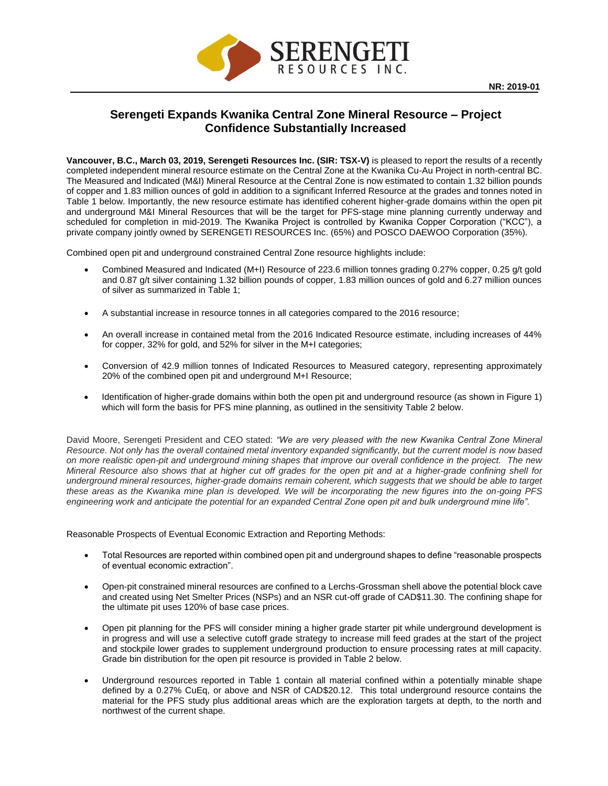

# **Serengeti Expands Kwanika Central Zone Mineral Resource – Project Confidence Substantially Increased**

**Vancouver, B.C., March 03, 2019, Serengeti Resources Inc. (SIR: TSX-V)** is pleased to report the results of a recently completed independent mineral resource estimate on the Central Zone at the Kwanika Cu-Au Project in north-central BC. The Measured and Indicated (M&I) Mineral Resource at the Central Zone is now estimated to contain 1.32 billion pounds of copper and 1.83 million ounces of gold in addition to a significant Inferred Resource at the grades and tonnes noted in Table 1 below. Importantly, the new resource estimate has identified coherent higher-grade domains within the open pit and underground M&I Mineral Resources that will be the target for PFS-stage mine planning currently underway and scheduled for completion in mid-2019. The Kwanika Project is controlled by Kwanika Copper Corporation ("KCC"), a private company jointly owned by SERENGETI RESOURCES Inc. (65%) and POSCO DAEWOO Corporation (35%).

Combined open pit and underground constrained Central Zone resource highlights include:

- Combined Measured and Indicated (M+I) Resource of 223.6 million tonnes grading 0.27% copper, 0.25 g/t gold and 0.87 g/t silver containing 1.32 billion pounds of copper, 1.83 million ounces of gold and 6.27 million ounces of silver as summarized in Table 1;
- A substantial increase in resource tonnes in all categories compared to the 2016 resource;
- An overall increase in contained metal from the 2016 Indicated Resource estimate, including increases of 44% for copper, 32% for gold, and 52% for silver in the M+I categories;
- Conversion of 42.9 million tonnes of Indicated Resources to Measured category, representing approximately 20% of the combined open pit and underground M+I Resource;
- Identification of higher-grade domains within both the open pit and underground resource (as shown in Figure 1) which will form the basis for PFS mine planning, as outlined in the sensitivity Table 2 below.

David Moore, Serengeti President and CEO stated: *"We are very pleased with the new Kwanika Central Zone Mineral Resource. Not only has the overall contained metal inventory expanded significantly, but the current model is now based on more realistic open-pit and underground mining shapes that improve our overall confidence in the project. The new Mineral Resource also shows that at higher cut off grades for the open pit and at a higher-grade confining shell for underground mineral resources, higher-grade domains remain coherent, which suggests that we should be able to target these areas as the Kwanika mine plan is developed. We will be incorporating the new figures into the on-going PFS engineering work and anticipate the potential for an expanded Central Zone open pit and bulk underground mine life".*

Reasonable Prospects of Eventual Economic Extraction and Reporting Methods:

- Total Resources are reported within combined open pit and underground shapes to define "reasonable prospects of eventual economic extraction".
- Open-pit constrained mineral resources are confined to a Lerchs-Grossman shell above the potential block cave and created using Net Smelter Prices (NSPs) and an NSR cut-off grade of CAD\$11.30. The confining shape for the ultimate pit uses 120% of base case prices.
- Open pit planning for the PFS will consider mining a higher grade starter pit while underground development is in progress and will use a selective cutoff grade strategy to increase mill feed grades at the start of the project and stockpile lower grades to supplement underground production to ensure processing rates at mill capacity. Grade bin distribution for the open pit resource is provided in Table 2 below.
- Underground resources reported in Table 1 contain all material confined within a potentially minable shape defined by a 0.27% CuEq, or above and NSR of CAD\$20.12. This total underground resource contains the material for the PFS study plus additional areas which are the exploration targets at depth, to the north and northwest of the current shape.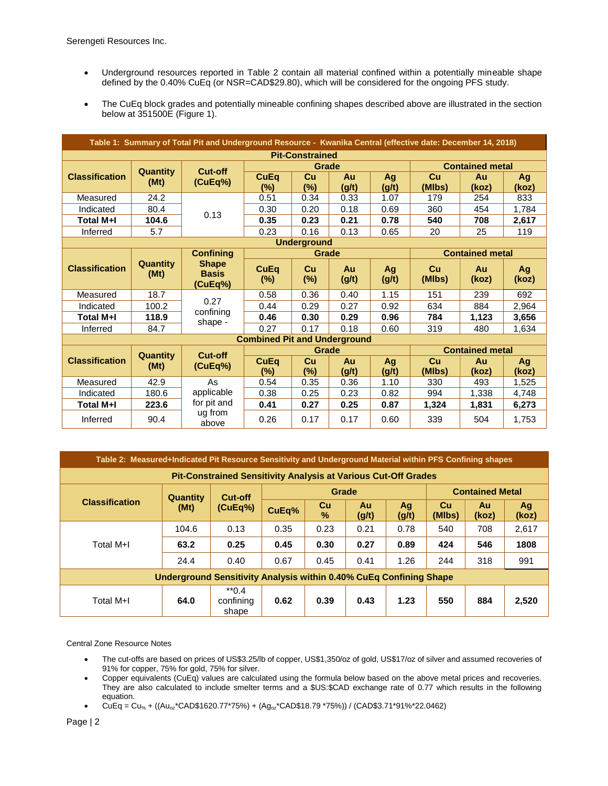- Underground resources reported in Table 2 contain all material confined within a potentially mineable shape defined by the 0.40% CuEq (or NSR=CAD\$29.80), which will be considered for the ongoing PFS study.
- The CuEq block grades and potentially mineable confining shapes described above are illustrated in the section below at 351500E (Figure 1).

| Table 1: Summary of Total Pit and Underground Resource - Kwanika Central (effective date: December 14, 2018) |                         |                              |                                     |        |       |                        |                        |       |       |  |
|--------------------------------------------------------------------------------------------------------------|-------------------------|------------------------------|-------------------------------------|--------|-------|------------------------|------------------------|-------|-------|--|
| <b>Pit-Constrained</b>                                                                                       |                         |                              |                                     |        |       |                        |                        |       |       |  |
| <b>Classification</b>                                                                                        | Quantity<br>(Mt)        | Cut-off<br>(CuEq%)           |                                     | Grade  |       | <b>Contained metal</b> |                        |       |       |  |
|                                                                                                              |                         |                              | <b>CuEq</b>                         | Cu     | Au    | Ag                     | Cu                     | Au    | Ag    |  |
|                                                                                                              |                         |                              | (%)                                 | (%)    | (g/t) | (g/t)                  | (MIbs)                 | (koz) | (koz) |  |
| Measured                                                                                                     | 24.2                    |                              | 0.51                                | 0.34   | 0.33  | 1.07                   | 179                    | 254   | 833   |  |
| Indicated                                                                                                    | 80.4                    | 0.13                         | 0.30                                | 0.20   | 0.18  | 0.69                   | 360                    | 454   | 1,784 |  |
| <b>Total M+I</b>                                                                                             | 104.6                   |                              | 0.35                                | 0.23   | 0.21  | 0.78                   | 540                    | 708   | 2,617 |  |
| Inferred                                                                                                     | 5.7                     |                              | 0.23                                | 0.16   | 0.13  | 0.65                   | 20                     | 25    | 119   |  |
| <b>Underground</b>                                                                                           |                         |                              |                                     |        |       |                        |                        |       |       |  |
| <b>Classification</b>                                                                                        |                         | <b>Confining</b>             |                                     | Grade  |       |                        | <b>Contained metal</b> |       |       |  |
|                                                                                                              | <b>Quantity</b><br>(Mt) | <b>Shape</b><br><b>Basis</b> | <b>CuEq</b>                         | Cu     | Au    | Ag                     | Cu                     | Au    | Ag    |  |
|                                                                                                              |                         |                              | $(\%)$                              | $(\%)$ | (g/t) | (g/t)                  | (MIbs)                 | (koz) | (koz) |  |
| Measured                                                                                                     | 18.7                    |                              | 0.58                                | 0.36   | 0.40  | 1.15                   | 151                    | 239   | 692   |  |
| Indicated                                                                                                    | 100.2                   | (CuEq%)<br>0.27<br>confining | 0.44                                | 0.29   | 0.27  | 0.92                   | 634                    | 884   | 2,964 |  |
| <b>Total M+I</b>                                                                                             | 118.9                   | shape -                      | 0.46                                | 0.30   | 0.29  | 0.96                   | 784                    | 1,123 | 3,656 |  |
| Inferred                                                                                                     | 84.7                    |                              | 0.27                                | 0.17   | 0.18  | 0.60                   | 319                    | 480   | 1,634 |  |
|                                                                                                              |                         |                              | <b>Combined Pit and Underground</b> |        |       |                        |                        |       |       |  |
| <b>Classification</b>                                                                                        | <b>Quantity</b>         | Cut-off                      | Grade                               |        |       |                        | <b>Contained metal</b> |       |       |  |
|                                                                                                              | (Mt)                    | (CuEq%)                      | <b>CuEq</b>                         | Cu     | Au    | Ag                     | Cu                     | Au    | Ag    |  |
|                                                                                                              |                         |                              | $(\%)$                              | $(\%)$ | (g/t) | (g/t)                  | (MIbs)                 | (koz) | (koz) |  |
| Measured                                                                                                     | 42.9                    | As                           | 0.54                                | 0.35   | 0.36  | 1.10                   | 330                    | 493   | 1,525 |  |
| Indicated                                                                                                    | 180.6                   | applicable                   | 0.38                                | 0.25   | 0.23  | 0.82                   | 994                    | 1,338 | 4,748 |  |
| <b>Total M+I</b>                                                                                             | 223.6                   | for pit and                  | 0.41                                | 0.27   | 0.25  | 0.87                   | 1,324                  | 1,831 | 6,273 |  |
| Inferred                                                                                                     | 90.4                    | ug from<br>above             | 0.26                                | 0.17   | 0.17  | 0.60                   | 339                    | 504   | 1,753 |  |

| Table 2: Measured+Indicated Pit Resource Sensitivity and Underground Material within PFS Confining shapes |                 |                               |       |                     |             |                        |                     |             |             |  |
|-----------------------------------------------------------------------------------------------------------|-----------------|-------------------------------|-------|---------------------|-------------|------------------------|---------------------|-------------|-------------|--|
| <b>Pit-Constrained Sensitivity Analysis at Various Cut-Off Grades</b>                                     |                 |                               |       |                     |             |                        |                     |             |             |  |
|                                                                                                           | <b>Quantity</b> | Cut-off                       |       | Grade               |             | <b>Contained Metal</b> |                     |             |             |  |
| <b>Classification</b>                                                                                     | (Mt)            | (CuEq%)                       | CuEq% | Cu<br>$\frac{9}{6}$ | Au<br>(g/t) | Ag<br>(g/t)            | <b>Cu</b><br>(MIbs) | Au<br>(koz) | Ag<br>(koz) |  |
|                                                                                                           | 104.6           | 0.13                          | 0.35  | 0.23                | 0.21        | 0.78                   | 540                 | 708         | 2.617       |  |
| Total M+I                                                                                                 | 63.2            | 0.25                          | 0.45  | 0.30                | 0.27        | 0.89                   | 424                 | 546         | 1808        |  |
|                                                                                                           | 24.4            | 0.40                          | 0.67  | 0.45                | 0.41        | 1.26                   | 244                 | 318         | 991         |  |
| <b>Underground Sensitivity Analysis within 0.40% CuEq Confining Shape</b>                                 |                 |                               |       |                     |             |                        |                     |             |             |  |
| Total M+I                                                                                                 | 64.0            | $*$ 0.4<br>confining<br>shape | 0.62  | 0.39                | 0.43        | 1.23                   | 550                 | 884         | 2,520       |  |

Central Zone Resource Notes

- The cut-offs are based on prices of US\$3.25/lb of copper, US\$1,350/oz of gold, US\$17/oz of silver and assumed recoveries of 91% for copper, 75% for gold, 75% for silver.
- Copper equivalents (CuEq) values are calculated using the formula below based on the above metal prices and recoveries. They are also calculated to include smelter terms and a \$US:\$CAD exchange rate of 0.77 which results in the following equation.
- CuEq = Cu<sub>%</sub> + ((Au<sub>oz</sub>\*CAD\$1620.77\*75%) + (Ag<sub>oz</sub>\*CAD\$18.79 \*75%)) / (CAD\$3.71\*91%\*22.0462)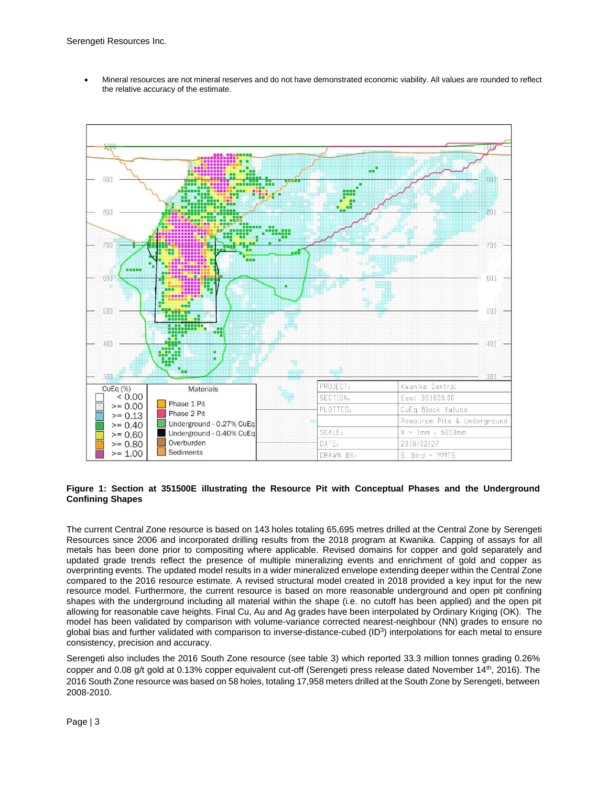• Mineral resources are not mineral reserves and do not have demonstrated economic viability. All values are rounded to reflect the relative accuracy of the estimate.



### **Figure 1: Section at 351500E illustrating the Resource Pit with Conceptual Phases and the Underground Confining Shapes**

The current Central Zone resource is based on 143 holes totaling 65,695 metres drilled at the Central Zone by Serengeti Resources since 2006 and incorporated drilling results from the 2018 program at Kwanika. Capping of assays for all metals has been done prior to compositing where applicable. Revised domains for copper and gold separately and updated grade trends reflect the presence of multiple mineralizing events and enrichment of gold and copper as overprinting events. The updated model results in a wider mineralized envelope extending deeper within the Central Zone compared to the 2016 resource estimate. A revised structural model created in 2018 provided a key input for the new resource model. Furthermore, the current resource is based on more reasonable underground and open pit confining shapes with the underground including all material within the shape (i.e. no cutoff has been applied) and the open pit allowing for reasonable cave heights. Final Cu, Au and Ag grades have been interpolated by Ordinary Kriging (OK). The model has been validated by comparison with volume-variance corrected nearest-neighbour (NN) grades to ensure no global bias and further validated with comparison to inverse-distance-cubed (ID<sup>3</sup>) interpolations for each metal to ensure consistency, precision and accuracy.

Serengeti also includes the 2016 South Zone resource (see table 3) which reported 33.3 million tonnes grading 0.26% copper and 0.08 g/t gold at 0.13% copper equivalent cut-off (Serengeti press release dated November 14<sup>th</sup>, 2016). The 2016 South Zone resource was based on 58 holes, totaling 17,958 meters drilled at the South Zone by Serengeti, between 2008-2010.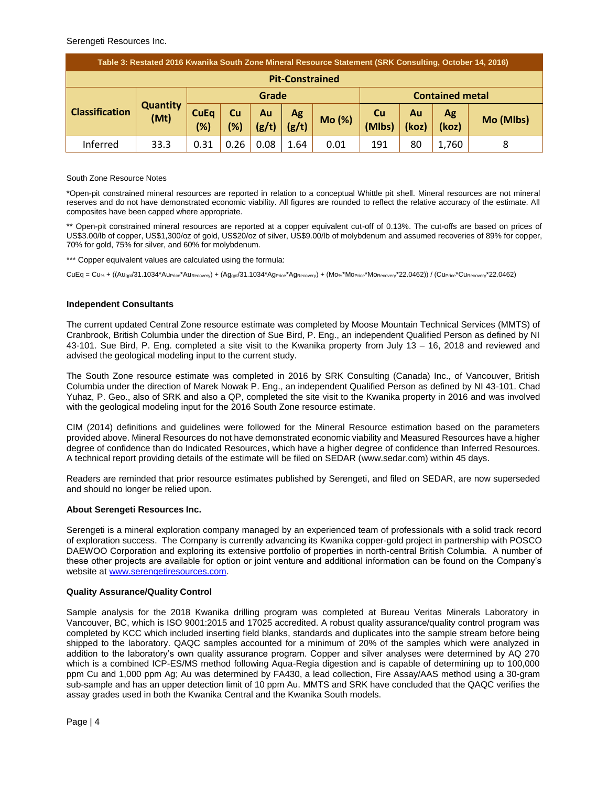Serengeti Resources Inc.

| Table 3: Restated 2016 Kwanika South Zone Mineral Resource Statement (SRK Consulting, October 14, 2016) |                         |             |      |          |        |           |        |                        |           |  |  |
|---------------------------------------------------------------------------------------------------------|-------------------------|-------------|------|----------|--------|-----------|--------|------------------------|-----------|--|--|
| <b>Pit-Constrained</b>                                                                                  |                         |             |      |          |        |           |        |                        |           |  |  |
| <b>Classification</b>                                                                                   | <b>Quantity</b><br>(Mt) | Grade       |      |          |        |           |        | <b>Contained metal</b> |           |  |  |
|                                                                                                         |                         | <b>CuEq</b> | Cu   | Ag<br>Au | Mo (%) | <b>Cu</b> | Au     | Ag                     | Mo (Mlbs) |  |  |
|                                                                                                         |                         | (%)         | (%)  | (g/t)    | (g/t)  |           | (Mlbs) | (koz)                  | (koz)     |  |  |
| Inferred                                                                                                | 33.3                    | 0.31        | 0.26 | .08      | 1.64   | 0.01      | 191    | 80                     | 1,760     |  |  |

South Zone Resource Notes

\*Open-pit constrained mineral resources are reported in relation to a conceptual Whittle pit shell. Mineral resources are not mineral reserves and do not have demonstrated economic viability. All figures are rounded to reflect the relative accuracy of the estimate. All composites have been capped where appropriate.

\*\* Open-pit constrained mineral resources are reported at a copper equivalent cut-off of 0.13%. The cut-offs are based on prices of US\$3.00/lb of copper, US\$1,300/oz of gold, US\$20/oz of silver, US\$9.00/lb of molybdenum and assumed recoveries of 89% for copper, 70% for gold, 75% for silver, and 60% for molybdenum.

\*\*\* Copper equivalent values are calculated using the formula:

 $CuEq = Cu_{%} + ((Au_{gpr}/31.1034*Au_{Price}*Au_{Recovery}) + (Ag_{gp}/31.1034*Ag_{Price}*Ag_{Recovery}) + (Mo_{%}*Mo_{Price}*Mo_{Recovery}*22.0462)) / (Cu_{Price}*Cu_{Recovery}*22.0462)$ 

### **Independent Consultants**

The current updated Central Zone resource estimate was completed by Moose Mountain Technical Services (MMTS) of Cranbrook, British Columbia under the direction of Sue Bird, P. Eng., an independent Qualified Person as defined by NI 43-101. Sue Bird, P. Eng. completed a site visit to the Kwanika property from July 13 – 16, 2018 and reviewed and advised the geological modeling input to the current study.

The South Zone resource estimate was completed in 2016 by SRK Consulting (Canada) Inc., of Vancouver, British Columbia under the direction of Marek Nowak P. Eng., an independent Qualified Person as defined by NI 43-101. Chad Yuhaz, P. Geo., also of SRK and also a QP, completed the site visit to the Kwanika property in 2016 and was involved with the geological modeling input for the 2016 South Zone resource estimate.

CIM (2014) definitions and guidelines were followed for the Mineral Resource estimation based on the parameters provided above. Mineral Resources do not have demonstrated economic viability and Measured Resources have a higher degree of confidence than do Indicated Resources, which have a higher degree of confidence than Inferred Resources. A technical report providing details of the estimate will be filed on SEDAR [\(www.sedar.com\)](http://www.sedar.com/) within 45 days.

Readers are reminded that prior resource estimates published by Serengeti, and filed on SEDAR, are now superseded and should no longer be relied upon.

### **About Serengeti Resources Inc.**

Serengeti is a mineral exploration company managed by an experienced team of professionals with a solid track record of exploration success. The Company is currently advancing its Kwanika copper-gold project in partnership with POSCO DAEWOO Corporation and exploring its extensive portfolio of properties in north-central British Columbia. A number of these other projects are available for option or joint venture and additional information can be found on the Company's website at [www.serengetiresources.com.](http://www.serengetiresources.com/)

### **Quality Assurance/Quality Control**

Sample analysis for the 2018 Kwanika drilling program was completed at Bureau Veritas Minerals Laboratory in Vancouver, BC, which is ISO 9001:2015 and 17025 accredited. A robust quality assurance/quality control program was completed by KCC which included inserting field blanks, standards and duplicates into the sample stream before being shipped to the laboratory. QAQC samples accounted for a minimum of 20% of the samples which were analyzed in addition to the laboratory's own quality assurance program. Copper and silver analyses were determined by AQ 270 which is a combined ICP-ES/MS method following Aqua-Regia digestion and is capable of determining up to 100,000 ppm Cu and 1,000 ppm Ag; Au was determined by FA430, a lead collection, Fire Assay/AAS method using a 30-gram sub-sample and has an upper detection limit of 10 ppm Au. MMTS and SRK have concluded that the QAQC verifies the assay grades used in both the Kwanika Central and the Kwanika South models.